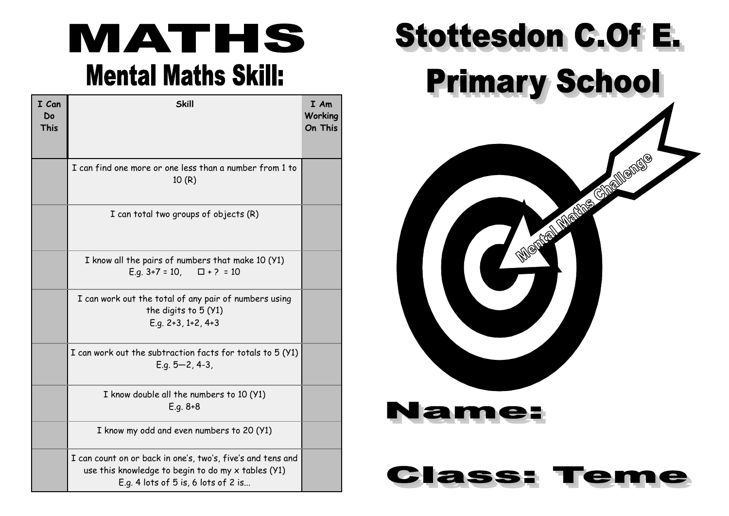# MATHS **Mental Maths Skill:**

| I Can<br>Do<br><b>This</b> | <b>Skill</b>                                                                                                                                             | I Am<br>Working<br>On This |
|----------------------------|----------------------------------------------------------------------------------------------------------------------------------------------------------|----------------------------|
|                            | I can find one more or one less than a number from 1 to<br>10(R)                                                                                         |                            |
|                            | I can total two groups of objects (R)                                                                                                                    |                            |
|                            | I know all the pairs of numbers that make 10 (Y1)<br>E.g. $3+7 = 10$ , $\Box + ? = 10$                                                                   |                            |
|                            | I can work out the total of any pair of numbers using<br>the digits to 5 (Y1)<br>E.g. $2+3$ , $1+2$ , $4+3$                                              |                            |
|                            | I can work out the subtraction facts for totals to 5 (Y1)<br>E.g. $5 - 2$ , $4 - 3$ ,                                                                    |                            |
|                            | I know double all the numbers to 10 (Y1)<br>$E.g. 8+8$                                                                                                   |                            |
|                            | I know my odd and even numbers to 20 (Y1)                                                                                                                |                            |
|                            | I can count on or back in one's, two's, five's and tens and<br>use this knowledge to begin to do my x tables (Y1)<br>E.g. 4 lots of 5 is, 6 lots of 2 is |                            |

# **Stottesdon C.Of E. Primary School** TANGUNG !

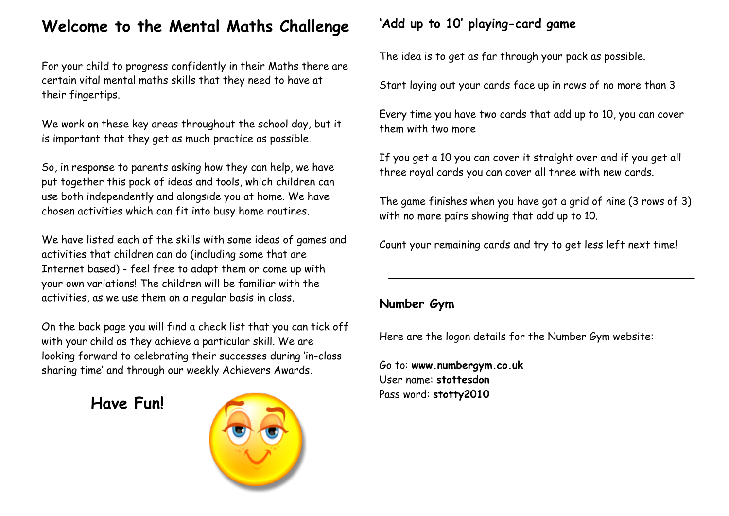# **Welcome to the Mental Maths Challenge**

For your child to progress confidently in their Maths there are certain vital mental maths skills that they need to have at their fingertips.

We work on these key areas throughout the school day, but it is important that they get as much practice as possible.

So, in response to parents asking how they can help, we have put together this pack of ideas and tools, which children can use both independently and alongside you at home. We have chosen activities which can fit into busy home routines.

We have listed each of the skills with some ideas of games and activities that children can do (including some that are Internet based) - feel free to adapt them or come up with your own variations! The children will be familiar with the activities, as we use them on a regular basis in class.

On the back page you will find a check list that you can tick off with your child as they achieve a particular skill. We are looking forward to celebrating their successes during 'in-class sharing time' and through our weekly Achievers Awards.

## **Have Fun!**



#### **'Add up to 10' playing-card game**

The idea is to get as far through your pack as possible.

Start laying out your cards face up in rows of no more than 3

Every time you have two cards that add up to 10, you can cover them with two more

If you get a 10 you can cover it straight over and if you get all three royal cards you can cover all three with new cards.

The game finishes when you have got a grid of nine (3 rows of 3) with no more pairs showing that add up to 10.

\_\_\_\_\_\_\_\_\_\_\_\_\_\_\_\_\_\_\_\_\_\_\_\_\_\_\_\_\_\_\_\_\_\_\_\_\_\_\_\_\_\_\_\_\_\_\_

Count your remaining cards and try to get less left next time!

#### **Number Gym**

Here are the logon details for the Number Gym website:

Go to: **www.numbergym.co.uk** User name: **stottesdon** Pass word: **stotty2010**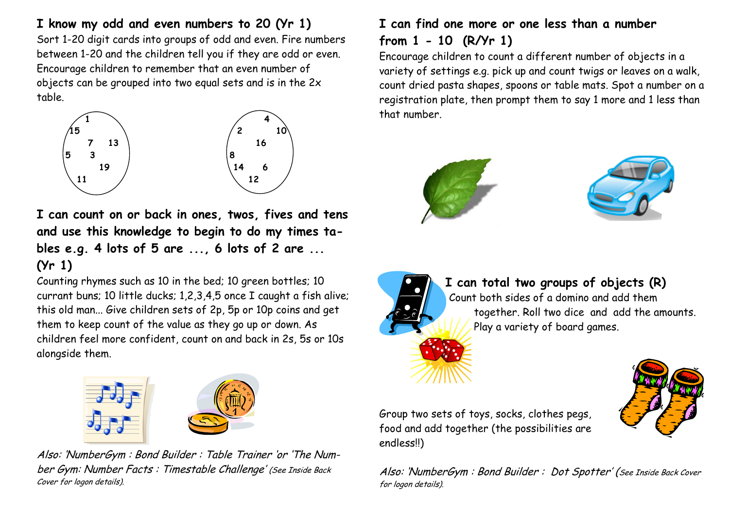**I know my odd and even numbers to 20 (Yr 1)**

Sort 1-20 digit cards into groups of odd and even. Fire numbers between 1-20 and the children tell you if they are odd or even. Encourage children to remember that an even number of objects can be grouped into two equal sets and is in the 2x table.



**I can count on or back in ones, twos, fives and tens and use this knowledge to begin to do my times tables e.g. 4 lots of 5 are ..., 6 lots of 2 are ... (Yr 1)**

Counting rhymes such as 10 in the bed; 10 green bottles; 10 currant buns; 10 little ducks; 1,2,3,4,5 once I caught a fish alive; this old man... Give children sets of 2p, 5p or 10p coins and get them to keep count of the value as they go up or down. As children feel more confident, count on and back in 2s, 5s or 10s alongside them.



Also: 'NumberGym : Bond Builder : Table Trainer 'or 'The Number Gym: Number Facts : Timestable Challenge' (See Inside Back Cover for logon details).

#### **I can find one more or one less than a number from 1 - 10 (R/Yr 1)**

Encourage children to count a different number of objects in a variety of settings e.g. pick up and count twigs or leaves on a walk, count dried pasta shapes, spoons or table mats. Spot a number on a registration plate, then prompt them to say 1 more and 1 less than that number.





**I can total two groups of objects (R)**

Count both sides of a domino and add them together. Roll two dice and add the amounts. Play a variety of board games.



Also: 'NumberGym : Bond Builder : Dot Spotter' (See Inside Back Cover for logon details).